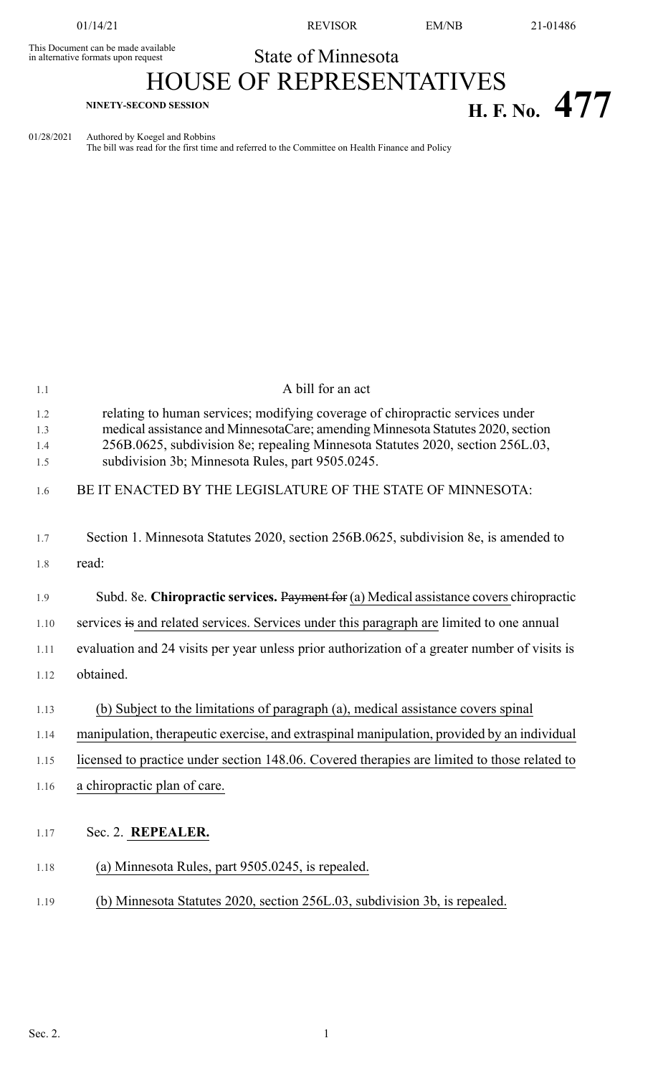This Document can be made available<br>in alternative formats upon request

01/14/21 REVISOR EM/NB 21-01486

## State of Minnesota

# HOUSE OF REPRESENTATIVES **H. F.** No. 477

01/28/2021 Authored by Koegel and Robbins

The bill was read for the first time and referred to the Committee on Health Finance and Policy

| 1.1                      | A bill for an act                                                                                                                                                                                                                                                                                      |
|--------------------------|--------------------------------------------------------------------------------------------------------------------------------------------------------------------------------------------------------------------------------------------------------------------------------------------------------|
| 1.2<br>1.3<br>1.4<br>1.5 | relating to human services; modifying coverage of chiropractic services under<br>medical assistance and MinnesotaCare; amending Minnesota Statutes 2020, section<br>256B.0625, subdivision 8e; repealing Minnesota Statutes 2020, section 256L.03,<br>subdivision 3b; Minnesota Rules, part 9505.0245. |
| 1.6                      | BE IT ENACTED BY THE LEGISLATURE OF THE STATE OF MINNESOTA:                                                                                                                                                                                                                                            |
| 1.7<br>1.8               | Section 1. Minnesota Statutes 2020, section 256B.0625, subdivision 8e, is amended to<br>read:                                                                                                                                                                                                          |
| 1.9                      | Subd. 8e. Chiropractic services. Payment for (a) Medical assistance covers chiropractic                                                                                                                                                                                                                |
| 1.10                     | services is and related services. Services under this paragraph are limited to one annual                                                                                                                                                                                                              |
| 1.11                     | evaluation and 24 visits per year unless prior authorization of a greater number of visits is                                                                                                                                                                                                          |
| 1.12                     | obtained.                                                                                                                                                                                                                                                                                              |
| 1.13<br>1.14             | (b) Subject to the limitations of paragraph (a), medical assistance covers spinal<br>manipulation, therapeutic exercise, and extraspinal manipulation, provided by an individual                                                                                                                       |
| 1.15                     | licensed to practice under section 148.06. Covered therapies are limited to those related to                                                                                                                                                                                                           |
| 1.16                     | a chiropractic plan of care.                                                                                                                                                                                                                                                                           |
| 1.17                     | Sec. 2. REPEALER.                                                                                                                                                                                                                                                                                      |
| 1.18                     | (a) Minnesota Rules, part 9505.0245, is repealed.                                                                                                                                                                                                                                                      |
| 1.19                     | (b) Minnesota Statutes 2020, section 256L.03, subdivision 3b, is repealed.                                                                                                                                                                                                                             |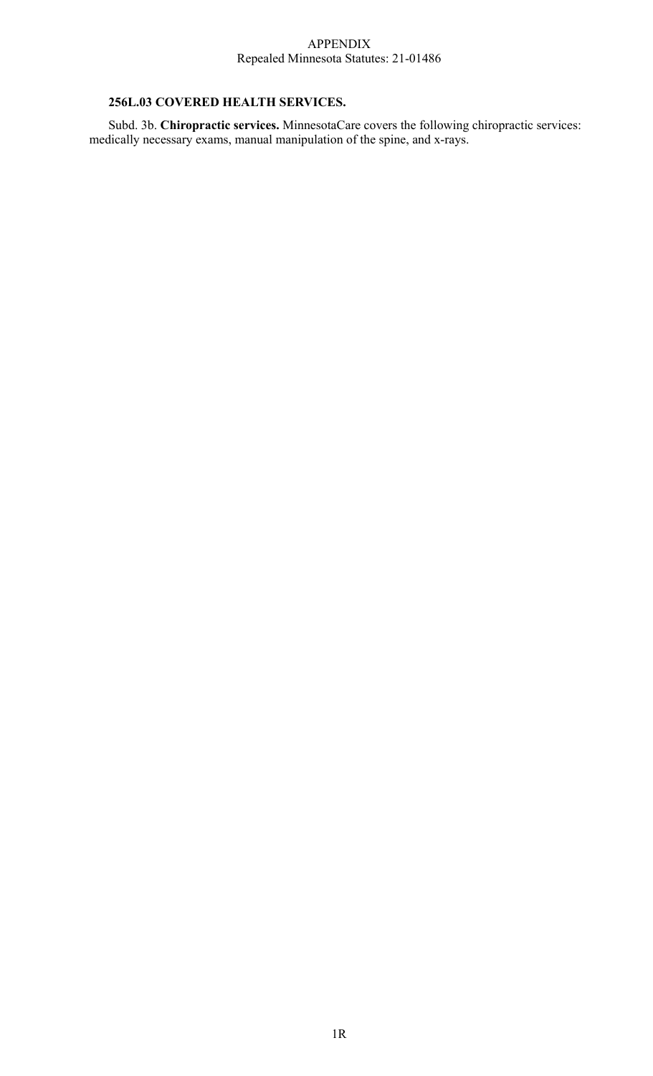#### APPENDIX Repealed Minnesota Statutes: 21-01486

### **256L.03 COVERED HEALTH SERVICES.**

Subd. 3b. **Chiropractic services.** MinnesotaCare covers the following chiropractic services: medically necessary exams, manual manipulation of the spine, and x-rays.